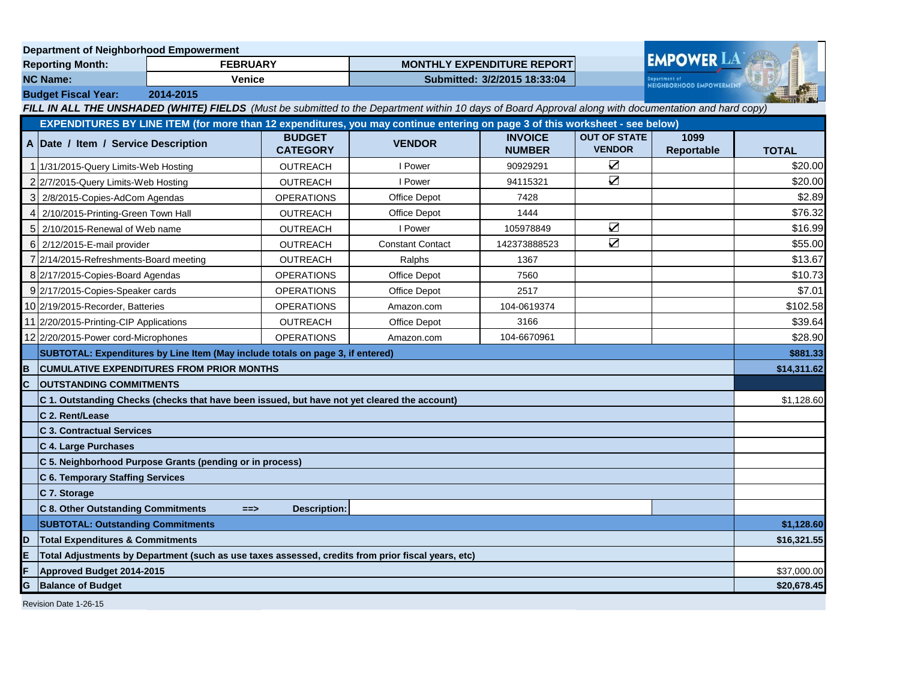| <b>Department of Neighborhood Empowerment</b>                                                                                                         |                                                                                                                              |                 |                                  |                                   |                                 |                                          |                    |              |
|-------------------------------------------------------------------------------------------------------------------------------------------------------|------------------------------------------------------------------------------------------------------------------------------|-----------------|----------------------------------|-----------------------------------|---------------------------------|------------------------------------------|--------------------|--------------|
| <b>Reporting Month:</b>                                                                                                                               |                                                                                                                              | <b>FEBRUARY</b> |                                  | <b>MONTHLY EXPENDITURE REPORT</b> |                                 |                                          | <b>EMPOWER LA</b>  |              |
| <b>NC Name:</b><br><b>Venice</b>                                                                                                                      |                                                                                                                              |                 | Submitted: 3/2/2015 18:33:04     |                                   |                                 | enartment of<br>NEIGHBORHOOD EMPOWERMENT |                    |              |
|                                                                                                                                                       | 2014-2015<br><b>Budget Fiscal Year:</b>                                                                                      |                 |                                  |                                   |                                 |                                          |                    |              |
| FILL IN ALL THE UNSHADED (WHITE) FIELDS (Must be submitted to the Department within 10 days of Board Approval along with documentation and hard copy) |                                                                                                                              |                 |                                  |                                   |                                 |                                          |                    |              |
|                                                                                                                                                       | EXPENDITURES BY LINE ITEM (for more than 12 expenditures, you may continue entering on page 3 of this worksheet - see below) |                 |                                  |                                   |                                 |                                          |                    |              |
|                                                                                                                                                       | A Date / Item / Service Description                                                                                          |                 | <b>BUDGET</b><br><b>CATEGORY</b> | <b>VENDOR</b>                     | <b>INVOICE</b><br><b>NUMBER</b> | <b>OUT OF STATE</b><br><b>VENDOR</b>     | 1099<br>Reportable | <b>TOTAL</b> |
|                                                                                                                                                       | 1 1/31/2015-Query Limits-Web Hosting                                                                                         |                 | <b>OUTREACH</b>                  | I Power                           | 90929291                        | $\sum$                                   |                    | \$20.00      |
|                                                                                                                                                       | 2 2/7/2015-Query Limits-Web Hosting                                                                                          |                 | <b>OUTREACH</b>                  | I Power                           | 94115321                        | $\sum$                                   |                    | \$20.00      |
|                                                                                                                                                       | 3 2/8/2015-Copies-AdCom Agendas                                                                                              |                 | <b>OPERATIONS</b>                | <b>Office Depot</b>               | 7428                            |                                          |                    | \$2.89       |
| 4                                                                                                                                                     | 2/10/2015-Printing-Green Town Hall                                                                                           |                 | <b>OUTREACH</b>                  | Office Depot                      | 1444                            |                                          |                    | \$76.32      |
|                                                                                                                                                       | 5 2/10/2015-Renewal of Web name                                                                                              |                 | <b>OUTREACH</b>                  | I Power                           | 105978849                       | $\blacktriangledown$                     |                    | \$16.99      |
|                                                                                                                                                       | 6 2/12/2015-E-mail provider                                                                                                  |                 | OUTREACH                         | <b>Constant Contact</b>           | 142373888523                    | $\sum$                                   |                    | \$55.00      |
|                                                                                                                                                       | 7 2/14/2015-Refreshments-Board meeting                                                                                       |                 | <b>OUTREACH</b>                  | Ralphs                            | 1367                            |                                          |                    | \$13.67      |
|                                                                                                                                                       | 8 2/17/2015-Copies-Board Agendas                                                                                             |                 | <b>OPERATIONS</b>                | <b>Office Depot</b>               | 7560                            |                                          |                    | \$10.73      |
|                                                                                                                                                       | 9 2/17/2015-Copies-Speaker cards                                                                                             |                 | <b>OPERATIONS</b>                | <b>Office Depot</b>               | 2517                            |                                          |                    | \$7.01       |
|                                                                                                                                                       | 10 2/19/2015-Recorder, Batteries                                                                                             |                 | <b>OPERATIONS</b>                | Amazon.com                        | 104-0619374                     |                                          |                    | \$102.58     |
|                                                                                                                                                       | 11 2/20/2015-Printing-CIP Applications                                                                                       |                 | <b>OUTREACH</b>                  | Office Depot                      | 3166                            |                                          |                    | \$39.64      |
|                                                                                                                                                       | 12 2/20/2015-Power cord-Microphones                                                                                          |                 | <b>OPERATIONS</b>                | Amazon.com                        | 104-6670961                     |                                          |                    | \$28.90      |
|                                                                                                                                                       | SUBTOTAL: Expenditures by Line Item (May include totals on page 3, if entered)                                               |                 |                                  |                                   |                                 |                                          |                    | \$881.33     |
| в                                                                                                                                                     | <b>CUMULATIVE EXPENDITURES FROM PRIOR MONTHS</b>                                                                             |                 |                                  |                                   |                                 |                                          | \$14,311.62        |              |
| C                                                                                                                                                     | <b>OUTSTANDING COMMITMENTS</b>                                                                                               |                 |                                  |                                   |                                 |                                          |                    |              |
|                                                                                                                                                       | C 1. Outstanding Checks (checks that have been issued, but have not yet cleared the account)                                 |                 |                                  |                                   |                                 |                                          | \$1,128.60         |              |
|                                                                                                                                                       | C 2. Rent/Lease                                                                                                              |                 |                                  |                                   |                                 |                                          |                    |              |
|                                                                                                                                                       | <b>C 3. Contractual Services</b>                                                                                             |                 |                                  |                                   |                                 |                                          |                    |              |
|                                                                                                                                                       | C 4. Large Purchases                                                                                                         |                 |                                  |                                   |                                 |                                          |                    |              |
|                                                                                                                                                       | C 5. Neighborhood Purpose Grants (pending or in process)                                                                     |                 |                                  |                                   |                                 |                                          |                    |              |
|                                                                                                                                                       | C 6. Temporary Staffing Services                                                                                             |                 |                                  |                                   |                                 |                                          |                    |              |
|                                                                                                                                                       | C 7. Storage                                                                                                                 |                 |                                  |                                   |                                 |                                          |                    |              |
|                                                                                                                                                       | <b>C 8. Other Outstanding Commitments</b>                                                                                    | $==$            | <b>Description:</b>              |                                   |                                 |                                          |                    |              |
|                                                                                                                                                       | <b>SUBTOTAL: Outstanding Commitments</b>                                                                                     |                 |                                  |                                   |                                 |                                          | \$1,128.60         |              |
| D                                                                                                                                                     | <b>Total Expenditures &amp; Commitments</b>                                                                                  |                 |                                  |                                   |                                 |                                          | \$16,321.55        |              |
| E                                                                                                                                                     | Total Adjustments by Department (such as use taxes assessed, credits from prior fiscal years, etc)                           |                 |                                  |                                   |                                 |                                          |                    |              |
| F                                                                                                                                                     | Approved Budget 2014-2015                                                                                                    |                 |                                  |                                   |                                 | \$37,000.00                              |                    |              |
| G<br><b>Balance of Budget</b>                                                                                                                         |                                                                                                                              |                 |                                  |                                   |                                 | \$20,678.45                              |                    |              |
| Revision Date 1-26-15                                                                                                                                 |                                                                                                                              |                 |                                  |                                   |                                 |                                          |                    |              |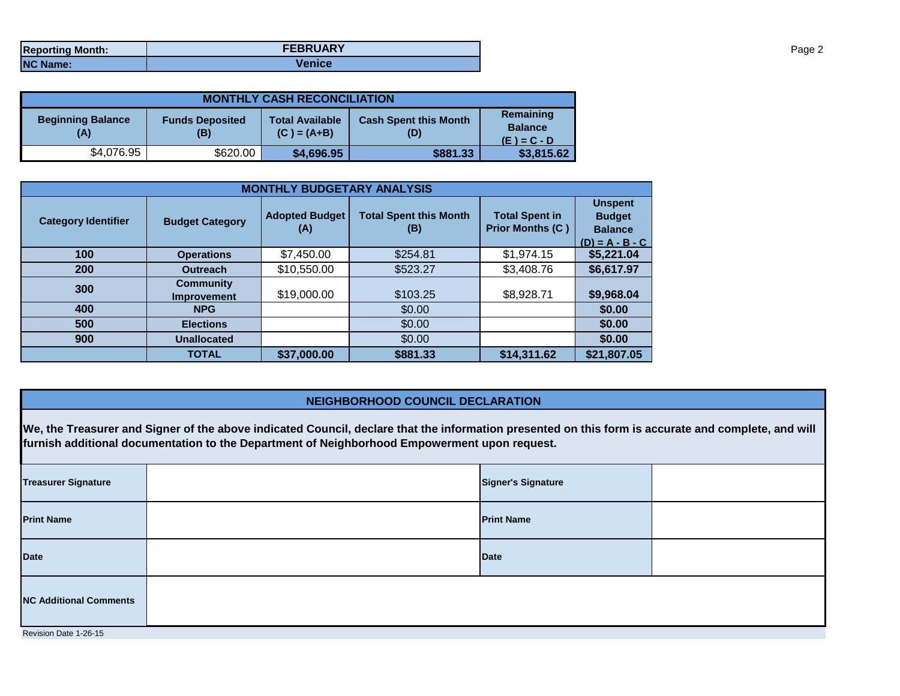| <b>Reporting Month:</b> | <b>FEBRUARY</b> |
|-------------------------|-----------------|
| <b>NC Name:</b>         | Venice          |

| <b>MONTHLY CASH RECONCILIATION</b> |                                                                          |            |                                     |                                              |  |  |  |
|------------------------------------|--------------------------------------------------------------------------|------------|-------------------------------------|----------------------------------------------|--|--|--|
| <b>Beginning Balance</b><br>(A)    | <b>Total Available</b><br><b>Funds Deposited</b><br>$(C) = (A+B)$<br>(B) |            | <b>Cash Spent this Month</b><br>(D) | Remaining<br><b>Balance</b><br>$(E) = C - D$ |  |  |  |
| \$4,076.95                         | \$620.00                                                                 | \$4,696.95 | \$881.33                            | \$3,815.62                                   |  |  |  |

| <b>MONTHLY BUDGETARY ANALYSIS</b> |                                        |                              |                                      |                                                  |                                                                        |  |  |
|-----------------------------------|----------------------------------------|------------------------------|--------------------------------------|--------------------------------------------------|------------------------------------------------------------------------|--|--|
| <b>Category Identifier</b>        | <b>Budget Category</b>                 | <b>Adopted Budget</b><br>(A) | <b>Total Spent this Month</b><br>(B) | <b>Total Spent in</b><br><b>Prior Months (C)</b> | <b>Unspent</b><br><b>Budget</b><br><b>Balance</b><br>$(D) = A - B - C$ |  |  |
| 100                               | <b>Operations</b>                      | \$7,450.00                   | \$254.81                             | \$1,974.15                                       | \$5,221.04                                                             |  |  |
| 200                               | <b>Outreach</b>                        | \$10,550.00                  | \$523.27                             | \$3,408.76                                       | \$6,617.97                                                             |  |  |
| 300                               | <b>Community</b><br><b>Improvement</b> | \$19,000.00                  | \$103.25                             | \$8,928.71                                       | \$9,968.04                                                             |  |  |
| 400                               | <b>NPG</b>                             |                              | \$0.00                               |                                                  | \$0.00                                                                 |  |  |
| 500                               | <b>Elections</b>                       |                              | \$0.00                               |                                                  | \$0.00                                                                 |  |  |
| 900                               | <b>Unallocated</b>                     |                              | \$0.00                               |                                                  | \$0.00                                                                 |  |  |
|                                   | <b>TOTAL</b>                           | \$37,000.00                  | \$881.33                             | \$14,311.62                                      | \$21,807.05                                                            |  |  |

## **NEIGHBORHOOD COUNCIL DECLARATION**

**We, the Treasurer and Signer of the above indicated Council, declare that the information presented on this form is accurate and complete, and will furnish additional documentation to the Department of Neighborhood Empowerment upon request.**

| <b>Treasurer Signature</b>    |  | <b>Signer's Signature</b> |  |  |  |
|-------------------------------|--|---------------------------|--|--|--|
| <b>Print Name</b>             |  | <b>Print Name</b>         |  |  |  |
| <b>Date</b>                   |  | Date                      |  |  |  |
| <b>NC Additional Comments</b> |  |                           |  |  |  |
| Revision Date 1-26-15         |  |                           |  |  |  |